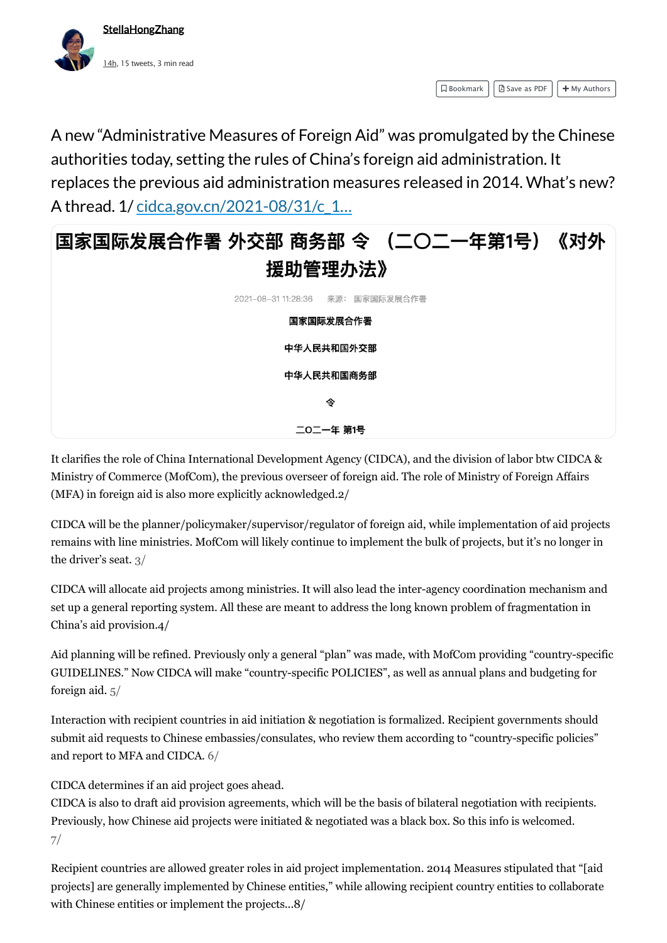It clarifies the role of China International Development Agency (CIDCA), and the division of labor btw CIDCA & Ministry of Commerce (MofCom), the previous overseer of foreign aid. The role of Ministry of Foreign Affairs (MFA) in foreign aid is also more explicitly acknowledged.2/

CIDCA will be the planner/policymaker/supervisor/regulator of foreign aid, while implementation of aid projects remains with line ministries. MofCom will likely continue to implement the bulk of projects, but it's no longer in the driver's seat. 3/

CIDCA will allocate aid projects among ministries. It will also lead the inter-agency coordination mechanism and set up a general reporting system. All these are meant to address the long known problem of fragmentation in China's aid provision.4/

Aid planning will be refined. Previously only a general "plan" was made, with MofCom providing "country-specific GUIDELINES." Now CIDCA will make "country-specific POLICIES", as well as annual plans and budgeting for foreign aid. 5/

Interaction with recipient countries in aid initiation & negotiation is formalized. Recipient governments should submit aid requests to Chinese embassies/consulates, who review them according to "country-specific policies" and report to MFA and CIDCA. 6/

CIDCA determines if an aid project goes ahead.

CIDCA is also to draft aid provision agreements, which will be the basis of bilateral negotiation with recipients. Previously, how Chinese aid projects were initiated & negotiated was a black box. So this info is welcomed. 7/

Recipient countries are allowed greater roles in aid project implementation. 2014 Measures stipulated that "[aid projects] are generally implemented by Chinese entities," while allowing recipient country entities to collaborate with Chinese entities or implement the projects...8/



 $\Box$  Bookmark  $||$   $\Box$  Save as PDF  $||$  + My Authors

A new "Administrative Measures of Foreign Aid" was promulgated by the Chinese authorities today, setting the rules of China's foreign aid administration. It replaces the previous aid administration measures released in 2014. What's new? A thread. 1/ cidca.gov.cn/2021-08/31/c\_1...